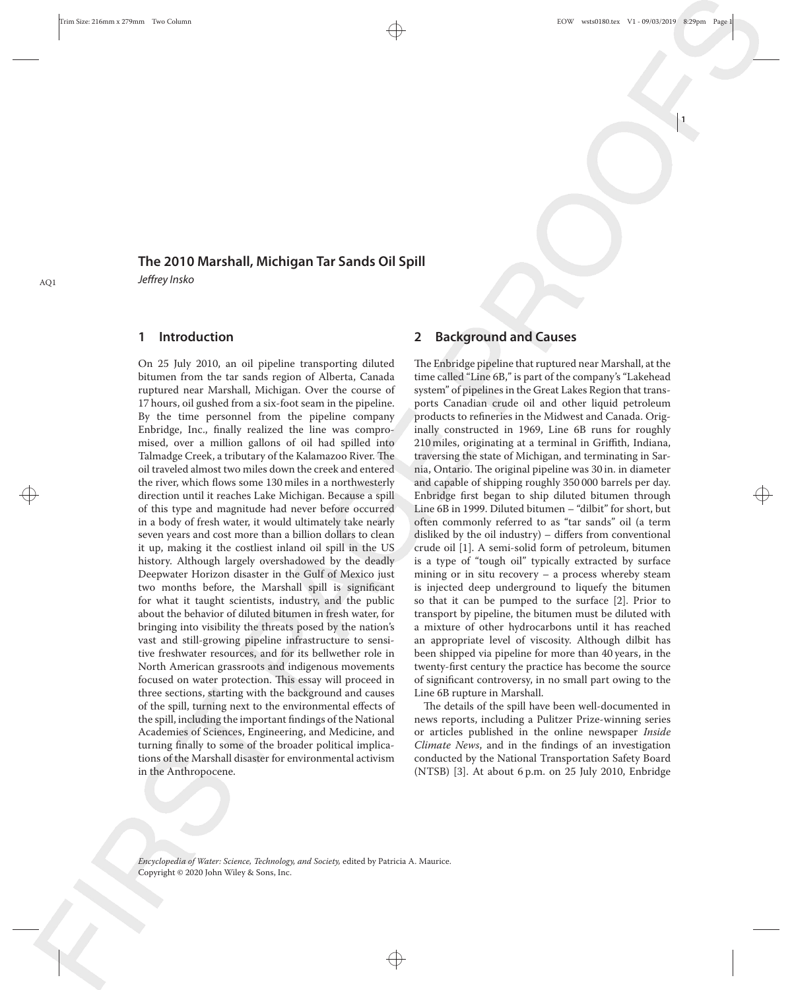**1**

## **The 2010 Marshall, Michigan Tar Sands Oil Spill** AQ1 Jeffrey Insko

## **1 Introduction**

 $\rightarrow$   $\qquad$   $\qquad$   $\qquad$   $\qquad$   $\qquad$   $\qquad$   $\qquad$   $\qquad$   $\qquad$   $\qquad$   $\qquad$   $\qquad$   $\qquad$   $\qquad$   $\qquad$   $\qquad$   $\qquad$   $\qquad$   $\qquad$   $\qquad$   $\qquad$   $\qquad$   $\qquad$   $\qquad$   $\qquad$   $\qquad$   $\qquad$   $\qquad$   $\qquad$   $\qquad$   $\qquad$   $\qquad$   $\qquad$   $\qquad$   $\qquad$   $\qquad$  On 25 July 2010, an oil pipeline transporting diluted bitumen from the tar sands region of Alberta, Canada ruptured near Marshall, Michigan. Over the course of 17 hours, oil gushed from a six-foot seam in the pipeline. By the time personnel from the pipeline company Enbridge, Inc., finally realized the line was compromised, over a million gallons of oil had spilled into Talmadge Creek, a tributary of the Kalamazoo River. The oil traveled almost two miles down the creek and entered the river, which flows some 130 miles in a northwesterly of this type and magnitude had never before occurred in a body of fresh water, it would ultimately take nearly seven years and cost more than a billion dollars to clean it up, making it the costliest inland oil spill in the US history. Although largely overshadowed by the deadly Deepwater Horizon disaster in the Gulf of Mexico just two months before, the Marshall spill is significant for what it taught scientists, industry, and the public about the behavior of diluted bitumen in fresh water, for bringing into visibility the threats posed by the nation's vast and still-growing pipeline infrastructure to sensitive freshwater resources, and for its bellwether role in North American grassroots and indigenous movements focused on water protection. This essay will proceed in three sections, starting with the background and causes of the spill, turning next to the environmental effects of the spill, including the important findings of the National Academies of Sciences, Engineering, and Medicine, and turning finally to some of the broader political implications of the Marshall disaster for environmental activism in the Anthropocene.

## **2 Background and Causes**

The Enbridge pipeline that ruptured near Marshall, at the time called "Line 6B," is part of the company's "Lakehead system" of pipelines in the Great Lakes Region that transports Canadian crude oil and other liquid petroleum products to refineries in the Midwest and Canada. Originally constructed in 1969, Line 6B runs for roughly 210 miles, originating at a terminal in Griffith, Indiana, traversing the state of Michigan, and terminating in Sarnia, Ontario. The original pipeline was 30 in. in diameter and capable of shipping roughly 350 000 barrels per day. Enbridge first began to ship diluted bitumen through Line 6B in 1999. Diluted bitumen – "dilbit" for short, but often commonly referred to as "tar sands" oil (a term disliked by the oil industry) – differs from conventional crude oil [1]. A semi-solid form of petroleum, bitumen is a type of "tough oil" typically extracted by surface mining or in situ recovery – a process whereby steam is injected deep underground to liquefy the bitumen so that it can be pumped to the surface [2]. Prior to transport by pipeline, the bitumen must be diluted with a mixture of other hydrocarbons until it has reached an appropriate level of viscosity. Although dilbit has been shipped via pipeline for more than 40 years, in the twenty-first century the practice has become the source of significant controversy, in no small part owing to the Line 6B rupture in Marshall.

The details of the spill have been well-documented in news reports, including a Pulitzer Prize-winning series or articles published in the online newspaper *Inside Climate News*, and in the findings of an investigation conducted by the National Transportation Safety Board (NTSB) [3]. At about 6 p.m. on 25 July 2010, Enbridge

*Encyclopedia of Water: Science, Technology, and Society,* edited by Patricia A. Maurice. Copyright © 2020 John Wiley & Sons, Inc.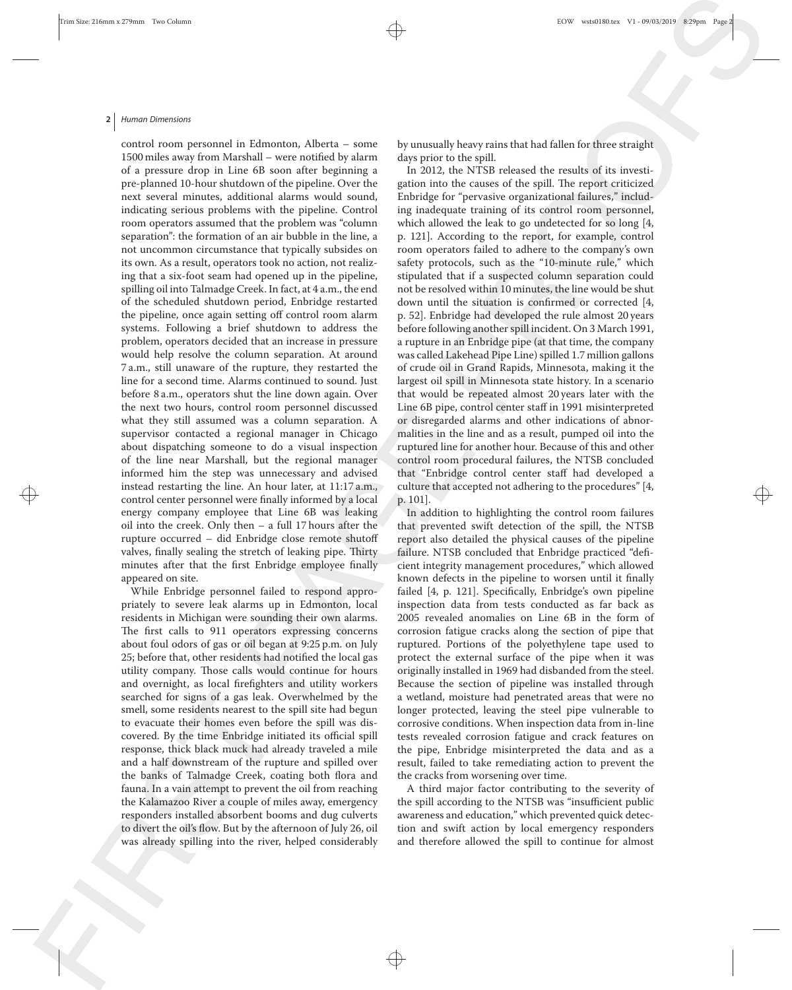#### **2** Human Dimensions

 $\rightarrow$  control center personnel were finally informed by a local p. 101]. control room personnel in Edmonton, Alberta – some 1500 miles away from Marshall – were notified by alarm of a pressure drop in Line 6B soon after beginning a pre-planned 10-hour shutdown of the pipeline. Over the next several minutes, additional alarms would sound, indicating serious problems with the pipeline. Control room operators assumed that the problem was "column separation": the formation of an air bubble in the line, a not uncommon circumstance that typically subsides on its own. As a result, operators took no action, not realizing that a six-foot seam had opened up in the pipeline, spilling oil into Talmadge Creek. In fact, at 4 a.m., the end of the scheduled shutdown period, Enbridge restarted the pipeline, once again setting off control room alarm systems. Following a brief shutdown to address the problem, operators decided that an increase in pressure would help resolve the column separation. At around 7 a.m., still unaware of the rupture, they restarted the line for a second time. Alarms continued to sound. Just before 8 a.m., operators shut the line down again. Over the next two hours, control room personnel discussed what they still assumed was a column separation. A supervisor contacted a regional manager in Chicago about dispatching someone to do a visual inspection of the line near Marshall, but the regional manager informed him the step was unnecessary and advised instead restarting the line. An hour later, at 11:17 a.m., energy company employee that Line 6B was leaking oil into the creek. Only then – a full 17 hours after the rupture occurred – did Enbridge close remote shutoff valves, finally sealing the stretch of leaking pipe. Thirty minutes after that the first Enbridge employee finally appeared on site.

> While Enbridge personnel failed to respond appropriately to severe leak alarms up in Edmonton, local residents in Michigan were sounding their own alarms. The first calls to 911 operators expressing concerns about foul odors of gas or oil began at 9:25 p.m. on July 25; before that, other residents had notified the local gas utility company. Those calls would continue for hours and overnight, as local firefighters and utility workers searched for signs of a gas leak. Overwhelmed by the smell, some residents nearest to the spill site had begun to evacuate their homes even before the spill was discovered. By the time Enbridge initiated its official spill response, thick black muck had already traveled a mile and a half downstream of the rupture and spilled over the banks of Talmadge Creek, coating both flora and fauna. In a vain attempt to prevent the oil from reaching the Kalamazoo River a couple of miles away, emergency responders installed absorbent booms and dug culverts to divert the oil's flow. But by the afternoon of July 26, oil was already spilling into the river, helped considerably

by unusually heavy rains that had fallen for three straight days prior to the spill.

In 2012, the NTSB released the results of its investigation into the causes of the spill. The report criticized Enbridge for "pervasive organizational failures," including inadequate training of its control room personnel, which allowed the leak to go undetected for so long [4, p. 121]. According to the report, for example, control room operators failed to adhere to the company's own safety protocols, such as the "10-minute rule," which stipulated that if a suspected column separation could not be resolved within 10 minutes, the line would be shut down until the situation is confirmed or corrected [4, p. 52]. Enbridge had developed the rule almost 20 years before following another spill incident. On 3 March 1991, a rupture in an Enbridge pipe (at that time, the company was called Lakehead Pipe Line) spilled 1.7 million gallons of crude oil in Grand Rapids, Minnesota, making it the largest oil spill in Minnesota state history. In a scenario that would be repeated almost 20 years later with the Line 6B pipe, control center staff in 1991 misinterpreted or disregarded alarms and other indications of abnormalities in the line and as a result, pumped oil into the ruptured line for another hour. Because of this and other control room procedural failures, the NTSB concluded that "Enbridge control center staff had developed a culture that accepted not adhering to the procedures" [4, p. 101].

In addition to highlighting the control room failures that prevented swift detection of the spill, the NTSB report also detailed the physical causes of the pipeline failure. NTSB concluded that Enbridge practiced "deficient integrity management procedures," which allowed known defects in the pipeline to worsen until it finally failed [4, p. 121]. Specifically, Enbridge's own pipeline inspection data from tests conducted as far back as 2005 revealed anomalies on Line 6B in the form of corrosion fatigue cracks along the section of pipe that ruptured. Portions of the polyethylene tape used to protect the external surface of the pipe when it was originally installed in 1969 had disbanded from the steel. Because the section of pipeline was installed through a wetland, moisture had penetrated areas that were no longer protected, leaving the steel pipe vulnerable to corrosive conditions. When inspection data from in-line tests revealed corrosion fatigue and crack features on the pipe, Enbridge misinterpreted the data and as a result, failed to take remediating action to prevent the the cracks from worsening over time.

A third major factor contributing to the severity of the spill according to the NTSB was "insufficient public awareness and education," which prevented quick detection and swift action by local emergency responders and therefore allowed the spill to continue for almost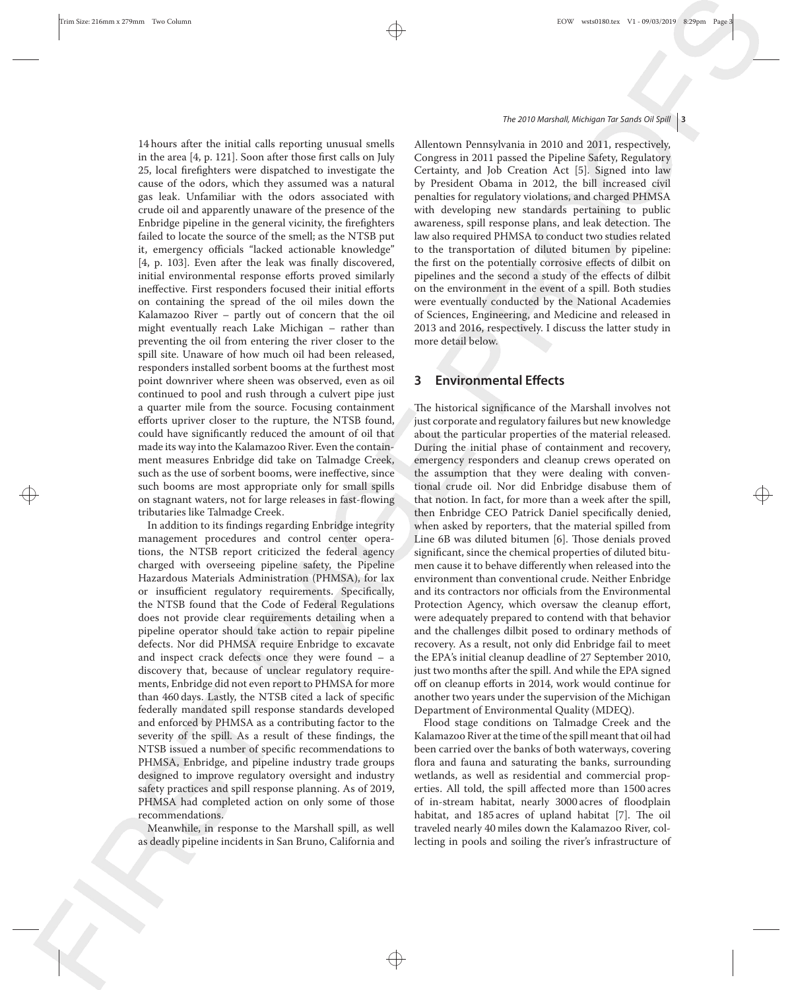14 hours after the initial calls reporting unusual smells in the area [4, p. 121]. Soon after those first calls on July 25, local firefighters were dispatched to investigate the cause of the odors, which they assumed was a natural gas leak. Unfamiliar with the odors associated with crude oil and apparently unaware of the presence of the Enbridge pipeline in the general vicinity, the firefighters failed to locate the source of the smell; as the NTSB put it, emergency officials "lacked actionable knowledge" [4, p. 103]. Even after the leak was finally discovered, initial environmental response efforts proved similarly ineffective. First responders focused their initial efforts on containing the spread of the oil miles down the Kalamazoo River – partly out of concern that the oil might eventually reach Lake Michigan – rather than preventing the oil from entering the river closer to the spill site. Unaware of how much oil had been released, responders installed sorbent booms at the furthest most point downriver where sheen was observed, even as oil continued to pool and rush through a culvert pipe just a quarter mile from the source. Focusing containment efforts upriver closer to the rupture, the NTSB found, could have significantly reduced the amount of oil that made its way into the Kalamazoo River. Even the containment measures Enbridge did take on Talmadge Creek, such as the use of sorbent booms, were ineffective, since such booms are most appropriate only for small spills tributaries like Talmadge Creek.

In addition to its findings regarding Enbridge integrity management procedures and control center operations, the NTSB report criticized the federal agency charged with overseeing pipeline safety, the Pipeline Hazardous Materials Administration (PHMSA), for lax or insufficient regulatory requirements. Specifically, the NTSB found that the Code of Federal Regulations does not provide clear requirements detailing when a pipeline operator should take action to repair pipeline defects. Nor did PHMSA require Enbridge to excavate and inspect crack defects once they were found – a discovery that, because of unclear regulatory requirements, Enbridge did not even report to PHMSA for more than 460 days. Lastly, the NTSB cited a lack of specific federally mandated spill response standards developed and enforced by PHMSA as a contributing factor to the severity of the spill. As a result of these findings, the NTSB issued a number of specific recommendations to PHMSA, Enbridge, and pipeline industry trade groups designed to improve regulatory oversight and industry safety practices and spill response planning. As of 2019, PHMSA had completed action on only some of those recommendations.

Meanwhile, in response to the Marshall spill, as well as deadly pipeline incidents in San Bruno, California and

❦

## The 2010 Marshall, Michigan Tar Sands Oil Spill **3**

Allentown Pennsylvania in 2010 and 2011, respectively, Congress in 2011 passed the Pipeline Safety, Regulatory Certainty, and Job Creation Act [5]. Signed into law by President Obama in 2012, the bill increased civil penalties for regulatory violations, and charged PHMSA with developing new standards pertaining to public awareness, spill response plans, and leak detection. The law also required PHMSA to conduct two studies related to the transportation of diluted bitumen by pipeline: the first on the potentially corrosive effects of dilbit on pipelines and the second a study of the effects of dilbit on the environment in the event of a spill. Both studies were eventually conducted by the National Academies of Sciences, Engineering, and Medicine and released in 2013 and 2016, respectively. I discuss the latter study in more detail below.

## **3 Environmental Effects**

 $\rightarrow$  on stagnant waters, not for large releases in fast-flowing that notion. In fact, for more than a week after the spill, The historical significance of the Marshall involves not just corporate and regulatory failures but new knowledge about the particular properties of the material released. During the initial phase of containment and recovery, emergency responders and cleanup crews operated on the assumption that they were dealing with conventional crude oil. Nor did Enbridge disabuse them of that notion. In fact, for more than a week after the spill, then Enbridge CEO Patrick Daniel specifically denied, when asked by reporters, that the material spilled from Line 6B was diluted bitumen [6]. Those denials proved significant, since the chemical properties of diluted bitumen cause it to behave differently when released into the environment than conventional crude. Neither Enbridge and its contractors nor officials from the Environmental Protection Agency, which oversaw the cleanup effort, were adequately prepared to contend with that behavior and the challenges dilbit posed to ordinary methods of recovery. As a result, not only did Enbridge fail to meet the EPA's initial cleanup deadline of 27 September 2010, just two months after the spill. And while the EPA signed off on cleanup efforts in 2014, work would continue for another two years under the supervision of the Michigan Department of Environmental Quality (MDEQ).

> Flood stage conditions on Talmadge Creek and the Kalamazoo River at the time of the spill meant that oil had been carried over the banks of both waterways, covering flora and fauna and saturating the banks, surrounding wetlands, as well as residential and commercial properties. All told, the spill affected more than 1500 acres of in-stream habitat, nearly 3000 acres of floodplain habitat, and 185 acres of upland habitat [7]. The oil traveled nearly 40 miles down the Kalamazoo River, collecting in pools and soiling the river's infrastructure of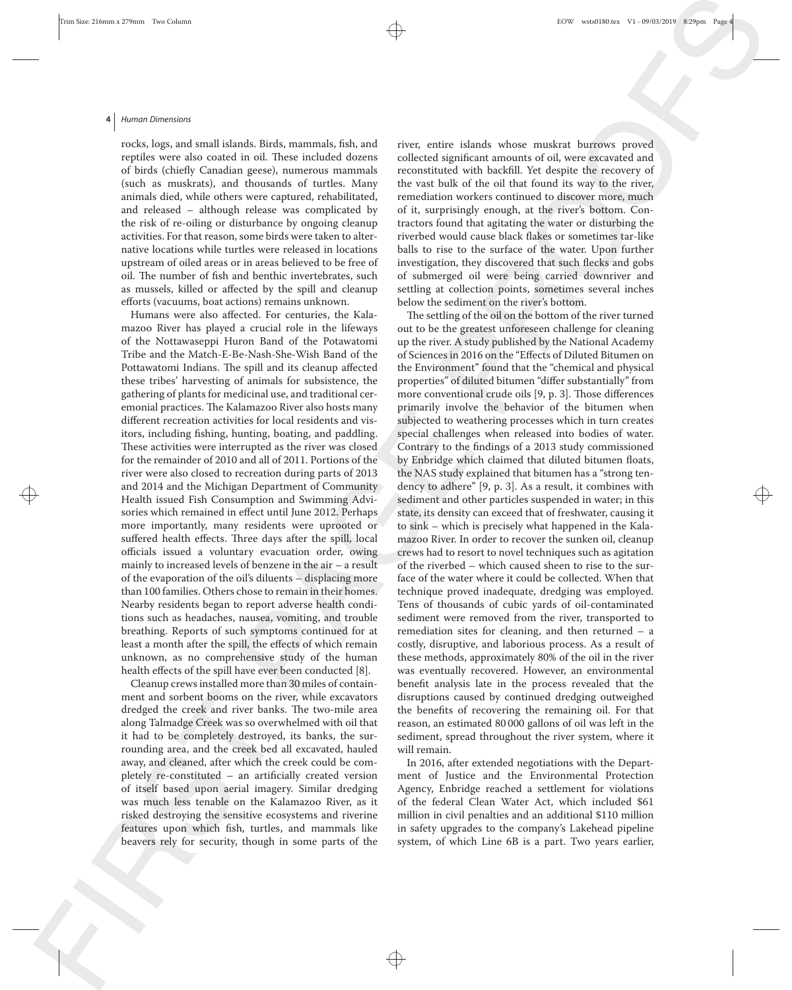#### **4** Human Dimensions

rocks, logs, and small islands. Birds, mammals, fish, and reptiles were also coated in oil. These included dozens of birds (chiefly Canadian geese), numerous mammals (such as muskrats), and thousands of turtles. Many animals died, while others were captured, rehabilitated, and released – although release was complicated by the risk of re-oiling or disturbance by ongoing cleanup activities. For that reason, some birds were taken to alternative locations while turtles were released in locations upstream of oiled areas or in areas believed to be free of oil. The number of fish and benthic invertebrates, such as mussels, killed or affected by the spill and cleanup efforts (vacuums, boat actions) remains unknown.

Humans were also affected. For centuries, the Kalamazoo River has played a crucial role in the lifeways of the Nottawaseppi Huron Band of the Potawatomi Tribe and the Match-E-Be-Nash-She-Wish Band of the Pottawatomi Indians. The spill and its cleanup affected these tribes' harvesting of animals for subsistence, the gathering of plants for medicinal use, and traditional ceremonial practices. The Kalamazoo River also hosts many different recreation activities for local residents and visitors, including fishing, hunting, boating, and paddling. These activities were interrupted as the river was closed for the remainder of 2010 and all of 2011. Portions of the river were also closed to recreation during parts of 2013 and 2014 and the Michigan Department of Community Health issued Fish Consumption and Swimming Advisories which remained in effect until June 2012. Perhaps more importantly, many residents were uprooted or suffered health effects. Three days after the spill, local officials issued a voluntary evacuation order, owing mainly to increased levels of benzene in the air – a result of the evaporation of the oil's diluents – displacing more than 100 families. Others chose to remain in their homes. Nearby residents began to report adverse health conditions such as headaches, nausea, vomiting, and trouble breathing. Reports of such symptoms continued for at least a month after the spill, the effects of which remain unknown, as no comprehensive study of the human health effects of the spill have ever been conducted [8].

Cleanup crews installed more than 30 miles of containment and sorbent booms on the river, while excavators dredged the creek and river banks. The two-mile area along Talmadge Creek was so overwhelmed with oil that it had to be completely destroyed, its banks, the surrounding area, and the creek bed all excavated, hauled away, and cleaned, after which the creek could be completely re-constituted – an artificially created version of itself based upon aerial imagery. Similar dredging was much less tenable on the Kalamazoo River, as it risked destroying the sensitive ecosystems and riverine features upon which fish, turtles, and mammals like beavers rely for security, though in some parts of the

river, entire islands whose muskrat burrows proved collected significant amounts of oil, were excavated and reconstituted with backfill. Yet despite the recovery of the vast bulk of the oil that found its way to the river, remediation workers continued to discover more, much of it, surprisingly enough, at the river's bottom. Contractors found that agitating the water or disturbing the riverbed would cause black flakes or sometimes tar-like balls to rise to the surface of the water. Upon further investigation, they discovered that such flecks and gobs of submerged oil were being carried downriver and settling at collection points, sometimes several inches below the sediment on the river's bottom.

 $\rightarrow$  Health issued Fish Consumption and Swimming Advi-<br>Sediment and other particles suspended in water; in this The settling of the oil on the bottom of the river turned out to be the greatest unforeseen challenge for cleaning up the river. A study published by the National Academy of Sciences in 2016 on the "Effects of Diluted Bitumen on the Environment" found that the "chemical and physical properties" of diluted bitumen "differ substantially" from more conventional crude oils [9, p. 3]. Those differences primarily involve the behavior of the bitumen when subjected to weathering processes which in turn creates special challenges when released into bodies of water. Contrary to the findings of a 2013 study commissioned by Enbridge which claimed that diluted bitumen floats, the NAS study explained that bitumen has a "strong tendency to adhere" [9, p. 3]. As a result, it combines with state, its density can exceed that of freshwater, causing it to sink – which is precisely what happened in the Kalamazoo River. In order to recover the sunken oil, cleanup crews had to resort to novel techniques such as agitation of the riverbed – which caused sheen to rise to the surface of the water where it could be collected. When that technique proved inadequate, dredging was employed. Tens of thousands of cubic yards of oil-contaminated sediment were removed from the river, transported to remediation sites for cleaning, and then returned – a costly, disruptive, and laborious process. As a result of these methods, approximately 80% of the oil in the river was eventually recovered. However, an environmental benefit analysis late in the process revealed that the disruptions caused by continued dredging outweighed the benefits of recovering the remaining oil. For that reason, an estimated 80 000 gallons of oil was left in the sediment, spread throughout the river system, where it will remain.

> In 2016, after extended negotiations with the Department of Justice and the Environmental Protection Agency, Enbridge reached a settlement for violations of the federal Clean Water Act, which included \$61 million in civil penalties and an additional \$110 million in safety upgrades to the company's Lakehead pipeline system, of which Line 6B is a part. Two years earlier,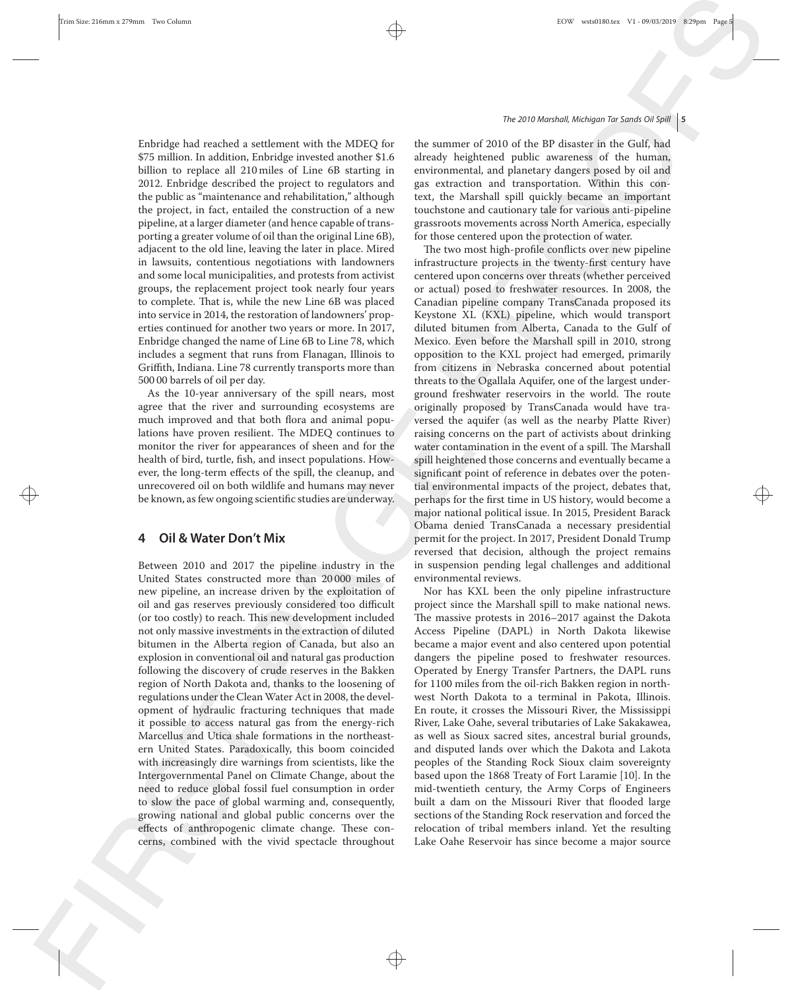Enbridge had reached a settlement with the MDEQ for \$75 million. In addition, Enbridge invested another \$1.6 billion to replace all 210 miles of Line 6B starting in 2012. Enbridge described the project to regulators and the public as "maintenance and rehabilitation," although the project, in fact, entailed the construction of a new pipeline, at a larger diameter (and hence capable of transporting a greater volume of oil than the original Line 6B), adjacent to the old line, leaving the later in place. Mired in lawsuits, contentious negotiations with landowners and some local municipalities, and protests from activist groups, the replacement project took nearly four years to complete. That is, while the new Line 6B was placed into service in 2014, the restoration of landowners' properties continued for another two years or more. In 2017, Enbridge changed the name of Line 6B to Line 78, which includes a segment that runs from Flanagan, Illinois to Griffith, Indiana. Line 78 currently transports more than 500 00 barrels of oil per day.

As the 10-year anniversary of the spill nears, most agree that the river and surrounding ecosystems are much improved and that both flora and animal populations have proven resilient. The MDEQ continues to monitor the river for appearances of sheen and for the health of bird, turtle, fish, and insect populations. However, the long-term effects of the spill, the cleanup, and unrecovered oil on both wildlife and humans may never

## **4 Oil & Water Don't Mix**

Between 2010 and 2017 the pipeline industry in the United States constructed more than 20 000 miles of new pipeline, an increase driven by the exploitation of oil and gas reserves previously considered too difficult (or too costly) to reach. This new development included not only massive investments in the extraction of diluted bitumen in the Alberta region of Canada, but also an explosion in conventional oil and natural gas production following the discovery of crude reserves in the Bakken region of North Dakota and, thanks to the loosening of regulations under the CleanWater Act in 2008, the development of hydraulic fracturing techniques that made it possible to access natural gas from the energy-rich Marcellus and Utica shale formations in the northeastern United States. Paradoxically, this boom coincided with increasingly dire warnings from scientists, like the Intergovernmental Panel on Climate Change, about the need to reduce global fossil fuel consumption in order to slow the pace of global warming and, consequently, growing national and global public concerns over the effects of anthropogenic climate change. These concerns, combined with the vivid spectacle throughout

❦

## The 2010 Marshall, Michigan Tar Sands Oil Spill **5**

the summer of 2010 of the BP disaster in the Gulf, had already heightened public awareness of the human, environmental, and planetary dangers posed by oil and gas extraction and transportation. Within this context, the Marshall spill quickly became an important touchstone and cautionary tale for various anti-pipeline grassroots movements across North America, especially for those centered upon the protection of water.

 $\rightarrow$  be known, as few ongoing scientific studies are underway.  $\rho$  perhaps for the first time in US history, would become a The two most high-profile conflicts over new pipeline infrastructure projects in the twenty-first century have centered upon concerns over threats (whether perceived or actual) posed to freshwater resources. In 2008, the Canadian pipeline company TransCanada proposed its Keystone XL (KXL) pipeline, which would transport diluted bitumen from Alberta, Canada to the Gulf of Mexico. Even before the Marshall spill in 2010, strong opposition to the KXL project had emerged, primarily from citizens in Nebraska concerned about potential threats to the Ogallala Aquifer, one of the largest underground freshwater reservoirs in the world. The route originally proposed by TransCanada would have traversed the aquifer (as well as the nearby Platte River) raising concerns on the part of activists about drinking water contamination in the event of a spill. The Marshall spill heightened those concerns and eventually became a significant point of reference in debates over the potential environmental impacts of the project, debates that, perhaps for the first time in US history, would become a major national political issue. In 2015, President Barack Obama denied TransCanada a necessary presidential permit for the project. In 2017, President Donald Trump reversed that decision, although the project remains in suspension pending legal challenges and additional environmental reviews.

> Nor has KXL been the only pipeline infrastructure project since the Marshall spill to make national news. The massive protests in 2016–2017 against the Dakota Access Pipeline (DAPL) in North Dakota likewise became a major event and also centered upon potential dangers the pipeline posed to freshwater resources. Operated by Energy Transfer Partners, the DAPL runs for 1100 miles from the oil-rich Bakken region in northwest North Dakota to a terminal in Pakota, Illinois. En route, it crosses the Missouri River, the Mississippi River, Lake Oahe, several tributaries of Lake Sakakawea, as well as Sioux sacred sites, ancestral burial grounds, and disputed lands over which the Dakota and Lakota peoples of the Standing Rock Sioux claim sovereignty based upon the 1868 Treaty of Fort Laramie [10]. In the mid-twentieth century, the Army Corps of Engineers built a dam on the Missouri River that flooded large sections of the Standing Rock reservation and forced the relocation of tribal members inland. Yet the resulting Lake Oahe Reservoir has since become a major source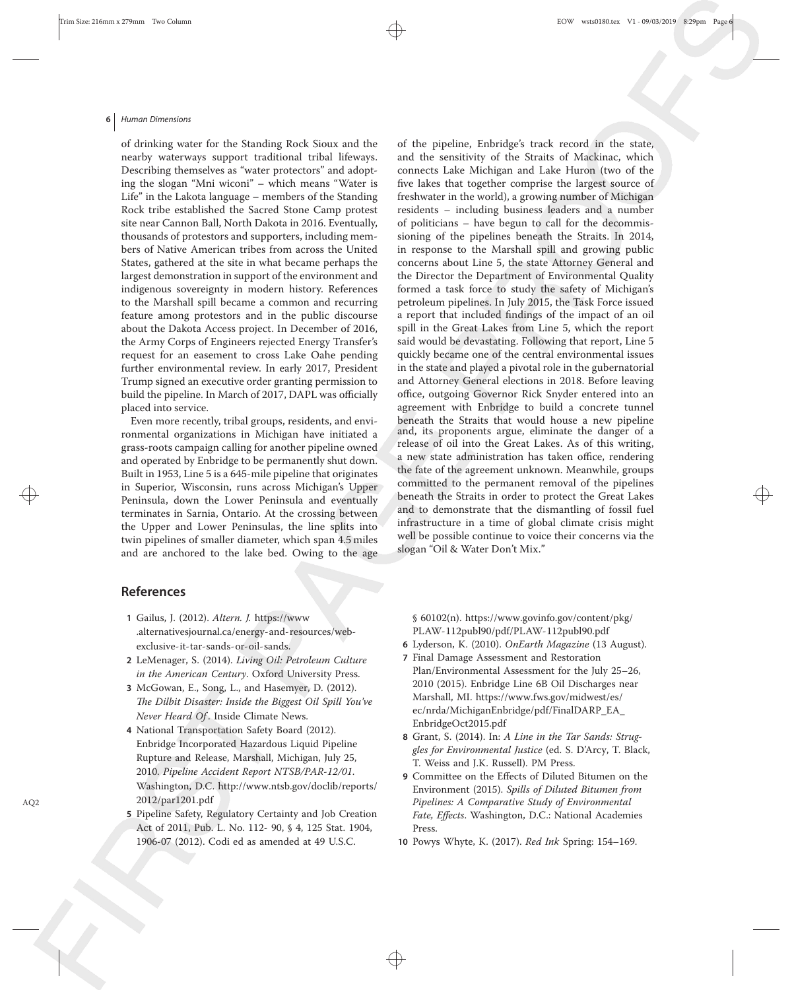#### **6** Human Dimensions

of drinking water for the Standing Rock Sioux and the nearby waterways support traditional tribal lifeways. Describing themselves as "water protectors" and adopting the slogan "Mni wiconi" – which means "Water is Life" in the Lakota language – members of the Standing Rock tribe established the Sacred Stone Camp protest site near Cannon Ball, North Dakota in 2016. Eventually, thousands of protestors and supporters, including members of Native American tribes from across the United States, gathered at the site in what became perhaps the largest demonstration in support of the environment and indigenous sovereignty in modern history. References to the Marshall spill became a common and recurring feature among protestors and in the public discourse about the Dakota Access project. In December of 2016, the Army Corps of Engineers rejected Energy Transfer's request for an easement to cross Lake Oahe pending further environmental review. In early 2017, President Trump signed an executive order granting permission to build the pipeline. In March of 2017, DAPL was officially placed into service.

Even more recently, tribal groups, residents, and environmental organizations in Michigan have initiated a grass-roots campaign calling for another pipeline owned and operated by Enbridge to be permanently shut down. Built in 1953, Line 5 is a 645-mile pipeline that originates in Superior, Wisconsin, runs across Michigan's Upper Peninsula, down the Lower Peninsula and eventually terminates in Sarnia, Ontario. At the crossing between the Upper and Lower Peninsulas, the line splits into twin pipelines of smaller diameter, which span 4.5 miles and are anchored to the lake bed. Owing to the age

 $\rightarrow$  Beninsula, down the Lower Peninsula and eventually beneath the Straits in order to protect the Great Lakes  $\bigoplus$ of the pipeline, Enbridge's track record in the state, and the sensitivity of the Straits of Mackinac, which connects Lake Michigan and Lake Huron (two of the five lakes that together comprise the largest source of freshwater in the world), a growing number of Michigan residents – including business leaders and a number of politicians – have begun to call for the decommissioning of the pipelines beneath the Straits. In 2014, in response to the Marshall spill and growing public concerns about Line 5, the state Attorney General and the Director the Department of Environmental Quality formed a task force to study the safety of Michigan's petroleum pipelines. In July 2015, the Task Force issued a report that included findings of the impact of an oil spill in the Great Lakes from Line 5, which the report said would be devastating. Following that report, Line 5 quickly became one of the central environmental issues in the state and played a pivotal role in the gubernatorial and Attorney General elections in 2018. Before leaving office, outgoing Governor Rick Snyder entered into an agreement with Enbridge to build a concrete tunnel beneath the Straits that would house a new pipeline and, its proponents argue, eliminate the danger of a release of oil into the Great Lakes. As of this writing, a new state administration has taken office, rendering the fate of the agreement unknown. Meanwhile, groups committed to the permanent removal of the pipelines and to demonstrate that the dismantling of fossil fuel infrastructure in a time of global climate crisis might well be possible continue to voice their concerns via the slogan "Oil & Water Don't Mix."

## **References**

- **1** Gailus, J. (2012). *Altern. J.* https://www .alternativesjournal.ca/energy-and-resources/webexclusive-it-tar-sands-or-oil-sands.
- **2** LeMenager, S. (2014). *Living Oil: Petroleum Culture in the American Century*. Oxford University Press.
- **3** McGowan, E., Song, L., and Hasemyer, D. (2012). *The Dilbit Disaster: Inside the Biggest Oil Spill You've Never Heard Of* . Inside Climate News.
- **4** National Transportation Safety Board (2012). Enbridge Incorporated Hazardous Liquid Pipeline Rupture and Release, Marshall, Michigan, July 25, 2010. *Pipeline Accident Report NTSB/PAR-12/01*. Washington, D.C. http://www.ntsb.gov/doclib/reports/ AQ2 2012/par1201.pdf
	- **5** Pipeline Safety, Regulatory Certainty and Job Creation Act of 2011, Pub. L. No. 112- 90, § 4, 125 Stat. 1904, 1906-07 (2012). Codi ed as amended at 49 U.S.C.

§ 60102(n). https://www.govinfo.gov/content/pkg/ PLAW-112publ90/pdf/PLAW-112publ90.pdf

- **6** Lyderson, K. (2010). *OnEarth Magazine* (13 August).
- **7** Final Damage Assessment and Restoration Plan/Environmental Assessment for the July 25–26, 2010 (2015). Enbridge Line 6B Oil Discharges near Marshall, MI. https://www.fws.gov/midwest/es/ ec/nrda/MichiganEnbridge/pdf/FinalDARP\_EA\_ EnbridgeOct2015.pdf
- **8** Grant, S. (2014). In: *A Line in the Tar Sands: Struggles for Environmental Justice* (ed. S. D'Arcy, T. Black, T. Weiss and J.K. Russell). PM Press.
- **9** Committee on the Effects of Diluted Bitumen on the Environment (2015). *Spills of Diluted Bitumen from Pipelines: A Comparative Study of Environmental Fate, Effects*. Washington, D.C.: National Academies Press.
- **10** Powys Whyte, K. (2017). *Red Ink* Spring: 154–169.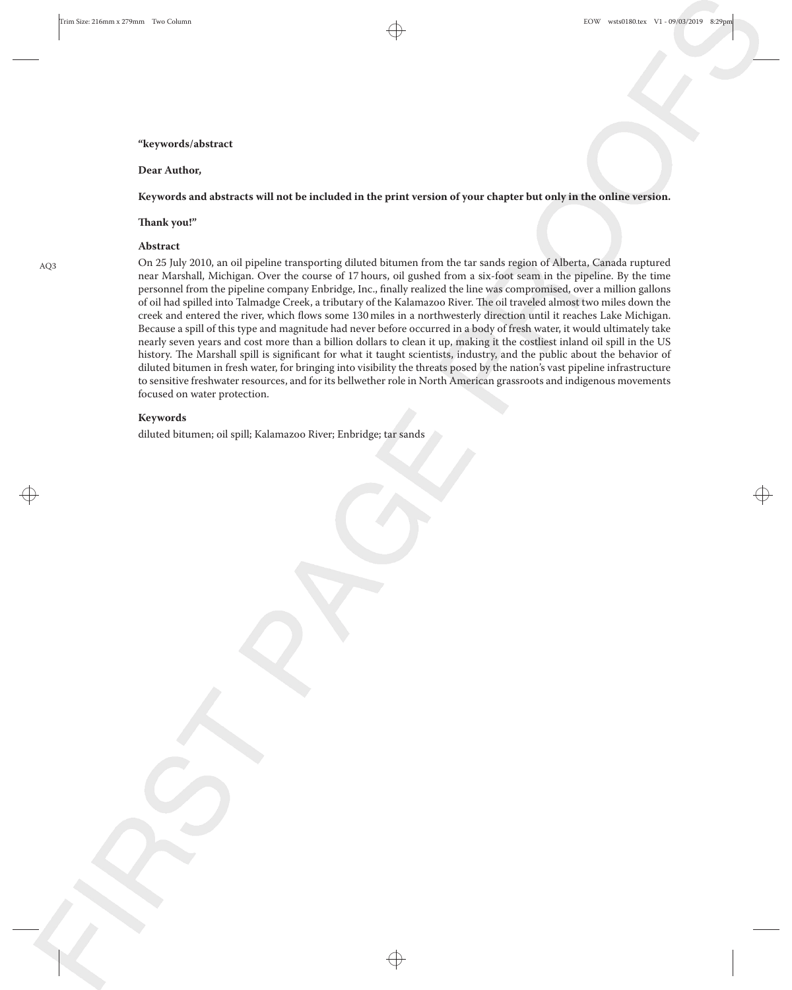#### **"keywords/abstract**

#### **Dear Author,**

## **Keywords and abstracts will not be included in the print version of your chapter but only in the online version.**

## **Thank you!"**

## **Abstract**

AQ3 On 25 July 2010, an oil pipeline transporting diluted bitumen from the tar sands region of Alberta, Canada ruptured near Marshall, Michigan. Over the course of 17 hours, oil gushed from a six-foot seam in the pipeline. By the time personnel from the pipeline company Enbridge, Inc., finally realized the line was compromised, over a million gallons of oil had spilled into Talmadge Creek, a tributary of the Kalamazoo River. The oil traveled almost two miles down the creek and entered the river, which flows some 130 miles in a northwesterly direction until it reaches Lake Michigan. Because a spill of this type and magnitude had never before occurred in a body of fresh water, it would ultimately take nearly seven years and cost more than a billion dollars to clean it up, making it the costliest inland oil spill in the US history. The Marshall spill is significant for what it taught scientists, industry, and the public about the behavior of diluted bitumen in fresh water, for bringing into visibility the threats posed by the nation's vast pipeline infrastructure to sensitive freshwater resources, and for its bellwether role in North American grassroots and indigenous movements focused on water protection.

 $\rightarrow$ 

❦

#### **Keywords**

diluted bitumen; oil spill; Kalamazoo River; Enbridge; tar sands